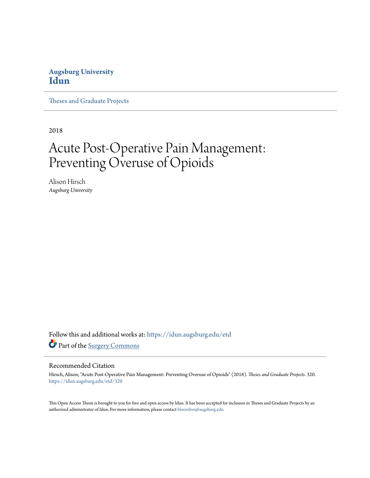## **Augsburg University [Idun](https://idun.augsburg.edu?utm_source=idun.augsburg.edu%2Fetd%2F320&utm_medium=PDF&utm_campaign=PDFCoverPages)**

[Theses and Graduate Projects](https://idun.augsburg.edu/etd?utm_source=idun.augsburg.edu%2Fetd%2F320&utm_medium=PDF&utm_campaign=PDFCoverPages)

2018

# Acute Post-Operative Pain Management: Preventing Overuse of Opioids

Alison Hirsch *Augsburg University*

Follow this and additional works at: [https://idun.augsburg.edu/etd](https://idun.augsburg.edu/etd?utm_source=idun.augsburg.edu%2Fetd%2F320&utm_medium=PDF&utm_campaign=PDFCoverPages) Part of the [Surgery Commons](http://network.bepress.com/hgg/discipline/706?utm_source=idun.augsburg.edu%2Fetd%2F320&utm_medium=PDF&utm_campaign=PDFCoverPages)

#### Recommended Citation

Hirsch, Alison, "Acute Post-Operative Pain Management: Preventing Overuse of Opioids" (2018). *Theses and Graduate Projects*. 320. [https://idun.augsburg.edu/etd/320](https://idun.augsburg.edu/etd/320?utm_source=idun.augsburg.edu%2Fetd%2F320&utm_medium=PDF&utm_campaign=PDFCoverPages)

This Open Access Thesis is brought to you for free and open access by Idun. It has been accepted for inclusion in Theses and Graduate Projects by an authorized administrator of Idun. For more information, please contact [bloomber@augsburg.edu.](mailto:bloomber@augsburg.edu)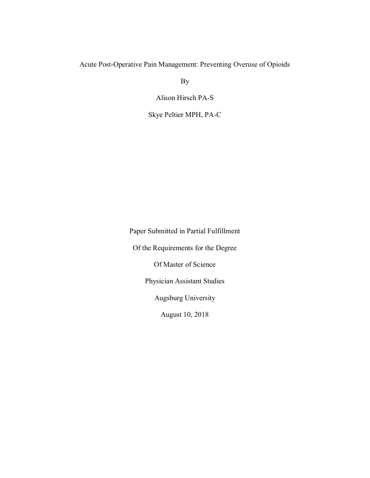### Acute Post-Operative Pain Management: Preventing Overuse of Opioids

By

Alison Hirsch PA-S

Skye Peltier MPH, PA-C

Paper Submitted in Partial Fulfillment Of the Requirements for the Degree Of Master of Science Physician Assistant Studies Augsburg University

August 10, 2018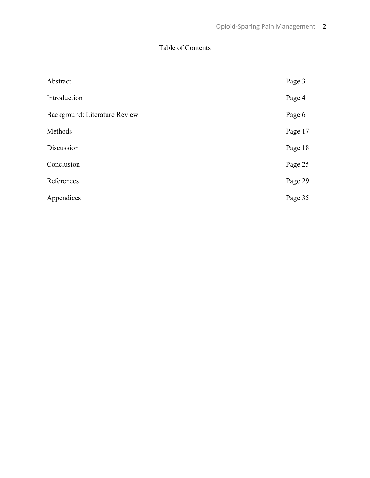# Table of Contents

| Abstract                      | Page 3  |
|-------------------------------|---------|
| Introduction                  | Page 4  |
| Background: Literature Review | Page 6  |
| Methods                       | Page 17 |
| Discussion                    | Page 18 |
| Conclusion                    | Page 25 |
| References                    | Page 29 |
| Appendices                    | Page 35 |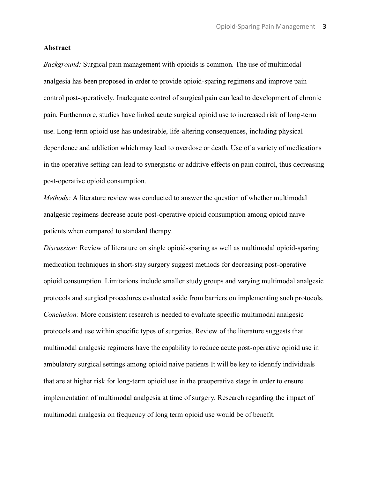#### **Abstract**

*Background:* Surgical pain management with opioids is common. The use of multimodal analgesia has been proposed in order to provide opioid-sparing regimens and improve pain control post-operatively. Inadequate control of surgical pain can lead to development of chronic pain. Furthermore, studies have linked acute surgical opioid use to increased risk of long-term use. Long-term opioid use has undesirable, life-altering consequences, including physical dependence and addiction which may lead to overdose or death. Use of a variety of medications in the operative setting can lead to synergistic or additive effects on pain control, thus decreasing post-operative opioid consumption.

*Methods:* A literature review was conducted to answer the question of whether multimodal analgesic regimens decrease acute post-operative opioid consumption among opioid naive patients when compared to standard therapy.

*Discussion:* Review of literature on single opioid-sparing as well as multimodal opioid-sparing medication techniques in short-stay surgery suggest methods for decreasing post-operative opioid consumption. Limitations include smaller study groups and varying multimodal analgesic protocols and surgical procedures evaluated aside from barriers on implementing such protocols. *Conclusion:* More consistent research is needed to evaluate specific multimodal analgesic protocols and use within specific types of surgeries. Review of the literature suggests that multimodal analgesic regimens have the capability to reduce acute post-operative opioid use in ambulatory surgical settings among opioid naive patients It will be key to identify individuals that are at higher risk for long-term opioid use in the preoperative stage in order to ensure implementation of multimodal analgesia at time of surgery. Research regarding the impact of multimodal analgesia on frequency of long term opioid use would be of benefit.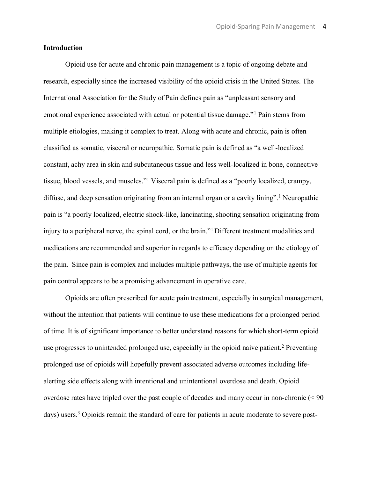#### **Introduction**

Opioid use for acute and chronic pain management is a topic of ongoing debate and research, especially since the increased visibility of the opioid crisis in the United States. The International Association for the Study of Pain defines pain as "unpleasant sensory and emotional experience associated with actual or potential tissue damage."<sup>1</sup> Pain stems from multiple etiologies, making it complex to treat. Along with acute and chronic, pain is often classified as somatic, visceral or neuropathic. Somatic pain is defined as "a well-localized constant, achy area in skin and subcutaneous tissue and less well-localized in bone, connective tissue, blood vessels, and muscles."<sup>1</sup> Visceral pain is defined as a "poorly localized, crampy, diffuse, and deep sensation originating from an internal organ or a cavity lining".<sup>1</sup> Neuropathic pain is "a poorly localized, electric shock-like, lancinating, shooting sensation originating from injury to a peripheral nerve, the spinal cord, or the brain."<sup>1</sup> Different treatment modalities and medications are recommended and superior in regards to efficacy depending on the etiology of the pain. Since pain is complex and includes multiple pathways, the use of multiple agents for pain control appears to be a promising advancement in operative care.

Opioids are often prescribed for acute pain treatment, especially in surgical management, without the intention that patients will continue to use these medications for a prolonged period of time. It is of significant importance to better understand reasons for which short-term opioid use progresses to unintended prolonged use, especially in the opioid naive patient.<sup>2</sup> Preventing prolonged use of opioids will hopefully prevent associated adverse outcomes including lifealerting side effects along with intentional and unintentional overdose and death. Opioid overdose rates have tripled over the past couple of decades and many occur in non-chronic (< 90 days) users.<sup>3</sup> Opioids remain the standard of care for patients in acute moderate to severe post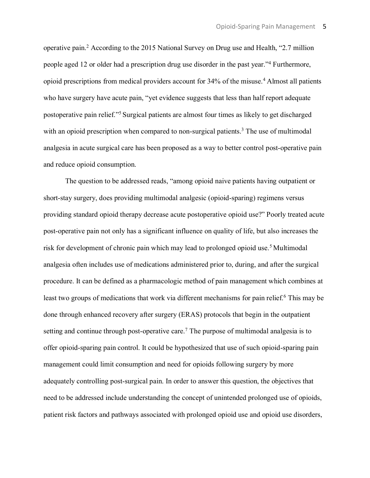operative pain.2 According to the 2015 National Survey on Drug use and Health, "2.7 million people aged 12 or older had a prescription drug use disorder in the past year."<sup>4</sup> Furthermore, opioid prescriptions from medical providers account for 34% of the misuse.4 Almost all patients who have surgery have acute pain, "yet evidence suggests that less than half report adequate postoperative pain relief."5 Surgical patients are almost four times as likely to get discharged with an opioid prescription when compared to non-surgical patients.<sup>3</sup> The use of multimodal analgesia in acute surgical care has been proposed as a way to better control post-operative pain and reduce opioid consumption.

The question to be addressed reads, "among opioid naive patients having outpatient or short-stay surgery, does providing multimodal analgesic (opioid-sparing) regimens versus providing standard opioid therapy decrease acute postoperative opioid use?" Poorly treated acute post-operative pain not only has a significant influence on quality of life, but also increases the risk for development of chronic pain which may lead to prolonged opioid use.<sup>5</sup> Multimodal analgesia often includes use of medications administered prior to, during, and after the surgical procedure. It can be defined as a pharmacologic method of pain management which combines at least two groups of medications that work via different mechanisms for pain relief.<sup>6</sup> This may be done through enhanced recovery after surgery (ERAS) protocols that begin in the outpatient setting and continue through post-operative care.<sup>7</sup> The purpose of multimodal analgesia is to offer opioid-sparing pain control. It could be hypothesized that use of such opioid-sparing pain management could limit consumption and need for opioids following surgery by more adequately controlling post-surgical pain. In order to answer this question, the objectives that need to be addressed include understanding the concept of unintended prolonged use of opioids, patient risk factors and pathways associated with prolonged opioid use and opioid use disorders,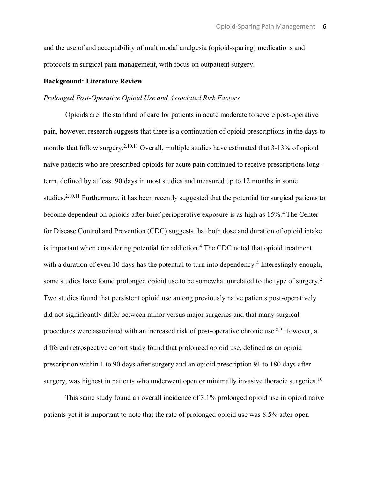and the use of and acceptability of multimodal analgesia (opioid-sparing) medications and protocols in surgical pain management, with focus on outpatient surgery.

#### **Background: Literature Review**

#### *Prolonged Post-Operative Opioid Use and Associated Risk Factors*

Opioids are the standard of care for patients in acute moderate to severe post-operative pain, however, research suggests that there is a continuation of opioid prescriptions in the days to months that follow surgery.<sup>2,10,11</sup> Overall, multiple studies have estimated that 3-13% of opioid naive patients who are prescribed opioids for acute pain continued to receive prescriptions longterm, defined by at least 90 days in most studies and measured up to 12 months in some studies.<sup>2,10,11</sup> Furthermore, it has been recently suggested that the potential for surgical patients to become dependent on opioids after brief perioperative exposure is as high as 15%.4 The Center for Disease Control and Prevention (CDC) suggests that both dose and duration of opioid intake is important when considering potential for addiction.<sup>4</sup> The CDC noted that opioid treatment with a duration of even 10 days has the potential to turn into dependency.<sup>4</sup> Interestingly enough, some studies have found prolonged opioid use to be somewhat unrelated to the type of surgery.<sup>2</sup> Two studies found that persistent opioid use among previously naive patients post-operatively did not significantly differ between minor versus major surgeries and that many surgical procedures were associated with an increased risk of post-operative chronic use.<sup>8,9</sup> However, a different retrospective cohort study found that prolonged opioid use, defined as an opioid prescription within 1 to 90 days after surgery and an opioid prescription 91 to 180 days after surgery, was highest in patients who underwent open or minimally invasive thoracic surgeries.<sup>10</sup>

This same study found an overall incidence of 3.1% prolonged opioid use in opioid naive patients yet it is important to note that the rate of prolonged opioid use was 8.5% after open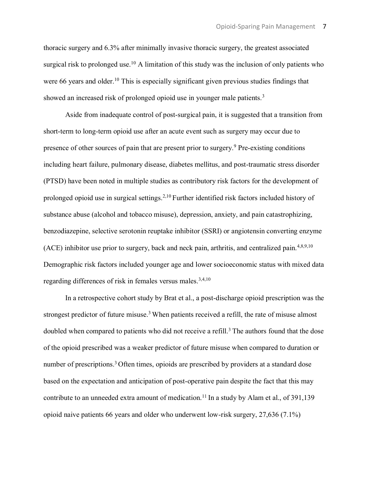thoracic surgery and 6.3% after minimally invasive thoracic surgery, the greatest associated surgical risk to prolonged use.<sup>10</sup> A limitation of this study was the inclusion of only patients who were 66 years and older.<sup>10</sup> This is especially significant given previous studies findings that showed an increased risk of prolonged opioid use in younger male patients.<sup>3</sup>

Aside from inadequate control of post-surgical pain, it is suggested that a transition from short-term to long-term opioid use after an acute event such as surgery may occur due to presence of other sources of pain that are present prior to surgery.9 Pre-existing conditions including heart failure, pulmonary disease, diabetes mellitus, and post-traumatic stress disorder (PTSD) have been noted in multiple studies as contributory risk factors for the development of prolonged opioid use in surgical settings.<sup>2,10</sup> Further identified risk factors included history of substance abuse (alcohol and tobacco misuse), depression, anxiety, and pain catastrophizing, benzodiazepine, selective serotonin reuptake inhibitor (SSRI) or angiotensin converting enzyme (ACE) inhibitor use prior to surgery, back and neck pain, arthritis, and centralized pain.4,8,9,10 Demographic risk factors included younger age and lower socioeconomic status with mixed data regarding differences of risk in females versus males.<sup>3,4,10</sup>

In a retrospective cohort study by Brat et al., a post-discharge opioid prescription was the strongest predictor of future misuse.<sup>3</sup> When patients received a refill, the rate of misuse almost doubled when compared to patients who did not receive a refill.<sup>3</sup> The authors found that the dose of the opioid prescribed was a weaker predictor of future misuse when compared to duration or number of prescriptions.<sup>3</sup> Often times, opioids are prescribed by providers at a standard dose based on the expectation and anticipation of post-operative pain despite the fact that this may contribute to an unneeded extra amount of medication.<sup>11</sup> In a study by Alam et al., of 391,139 opioid naive patients 66 years and older who underwent low-risk surgery, 27,636 (7.1%)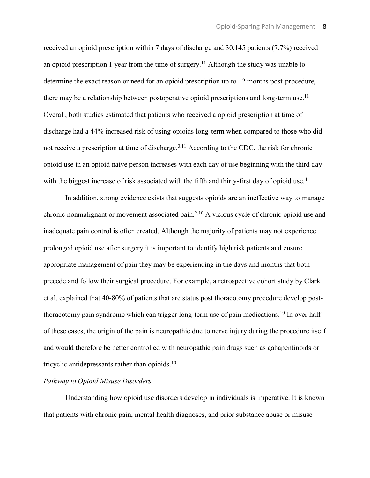received an opioid prescription within 7 days of discharge and 30,145 patients (7.7%) received an opioid prescription 1 year from the time of surgery.<sup>11</sup> Although the study was unable to determine the exact reason or need for an opioid prescription up to 12 months post-procedure, there may be a relationship between postoperative opioid prescriptions and long-term use.<sup>11</sup> Overall, both studies estimated that patients who received a opioid prescription at time of discharge had a 44% increased risk of using opioids long-term when compared to those who did not receive a prescription at time of discharge.<sup>3,11</sup> According to the CDC, the risk for chronic opioid use in an opioid naive person increases with each day of use beginning with the third day with the biggest increase of risk associated with the fifth and thirty-first day of opioid use.<sup>4</sup>

In addition, strong evidence exists that suggests opioids are an ineffective way to manage chronic nonmalignant or movement associated pain.2,10 A vicious cycle of chronic opioid use and inadequate pain control is often created. Although the majority of patients may not experience prolonged opioid use after surgery it is important to identify high risk patients and ensure appropriate management of pain they may be experiencing in the days and months that both precede and follow their surgical procedure. For example, a retrospective cohort study by Clark et al. explained that 40-80% of patients that are status post thoracotomy procedure develop postthoracotomy pain syndrome which can trigger long-term use of pain medications.<sup>10</sup> In over half of these cases, the origin of the pain is neuropathic due to nerve injury during the procedure itself and would therefore be better controlled with neuropathic pain drugs such as gabapentinoids or tricyclic antidepressants rather than opioids.<sup>10</sup>

#### *Pathway to Opioid Misuse Disorders*

Understanding how opioid use disorders develop in individuals is imperative. It is known that patients with chronic pain, mental health diagnoses, and prior substance abuse or misuse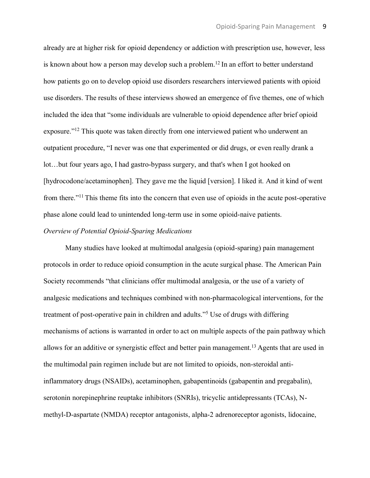already are at higher risk for opioid dependency or addiction with prescription use, however, less is known about how a person may develop such a problem.<sup>12</sup> In an effort to better understand how patients go on to develop opioid use disorders researchers interviewed patients with opioid use disorders. The results of these interviews showed an emergence of five themes, one of which included the idea that "some individuals are vulnerable to opioid dependence after brief opioid exposure."<sup>12</sup> This quote was taken directly from one interviewed patient who underwent an outpatient procedure, "I never was one that experimented or did drugs, or even really drank a lot…but four years ago, I had gastro-bypass surgery, and that's when I got hooked on [hydrocodone/acetaminophen]. They gave me the liquid [version]. I liked it. And it kind of went from there."11 This theme fits into the concern that even use of opioids in the acute post-operative phase alone could lead to unintended long-term use in some opioid-naive patients.

#### *Overview of Potential Opioid-Sparing Medications*

Many studies have looked at multimodal analgesia (opioid-sparing) pain management protocols in order to reduce opioid consumption in the acute surgical phase. The American Pain Society recommends "that clinicians offer multimodal analgesia, or the use of a variety of analgesic medications and techniques combined with non-pharmacological interventions, for the treatment of post-operative pain in children and adults."<sup>5</sup> Use of drugs with differing mechanisms of actions is warranted in order to act on multiple aspects of the pain pathway which allows for an additive or synergistic effect and better pain management.<sup>13</sup> Agents that are used in the multimodal pain regimen include but are not limited to opioids, non-steroidal antiinflammatory drugs (NSAIDs), acetaminophen, gabapentinoids (gabapentin and pregabalin), serotonin norepinephrine reuptake inhibitors (SNRIs), tricyclic antidepressants (TCAs), Nmethyl-D-aspartate (NMDA) receptor antagonists, alpha-2 adrenoreceptor agonists, lidocaine,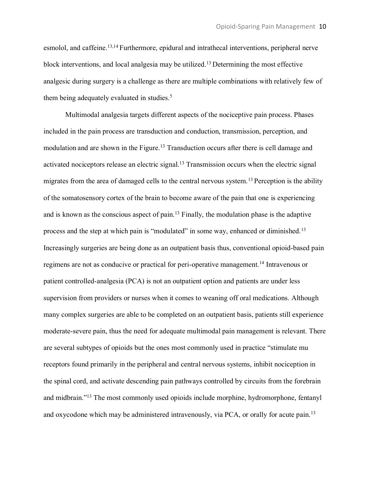esmolol, and caffeine.<sup>13,14</sup> Furthermore, epidural and intrathecal interventions, peripheral nerve block interventions, and local analgesia may be utilized.13 Determining the most effective analgesic during surgery is a challenge as there are multiple combinations with relatively few of them being adequately evaluated in studies.<sup>5</sup>

Multimodal analgesia targets different aspects of the nociceptive pain process. Phases included in the pain process are transduction and conduction, transmission, perception, and modulation and are shown in the Figure.<sup>13</sup> Transduction occurs after there is cell damage and activated nociceptors release an electric signal.<sup>13</sup> Transmission occurs when the electric signal migrates from the area of damaged cells to the central nervous system.<sup>13</sup> Perception is the ability of the somatosensory cortex of the brain to become aware of the pain that one is experiencing and is known as the conscious aspect of pain.13 Finally, the modulation phase is the adaptive process and the step at which pain is "modulated" in some way, enhanced or diminished.<sup>13</sup> Increasingly surgeries are being done as an outpatient basis thus, conventional opioid-based pain regimens are not as conducive or practical for peri-operative management.14 Intravenous or patient controlled-analgesia (PCA) is not an outpatient option and patients are under less supervision from providers or nurses when it comes to weaning off oral medications. Although many complex surgeries are able to be completed on an outpatient basis, patients still experience moderate-severe pain, thus the need for adequate multimodal pain management is relevant. There are several subtypes of opioids but the ones most commonly used in practice "stimulate mu receptors found primarily in the peripheral and central nervous systems, inhibit nociception in the spinal cord, and activate descending pain pathways controlled by circuits from the forebrain and midbrain."<sup>13</sup> The most commonly used opioids include morphine, hydromorphone, fentanyl and oxycodone which may be administered intravenously, via PCA, or orally for acute pain.<sup>13</sup>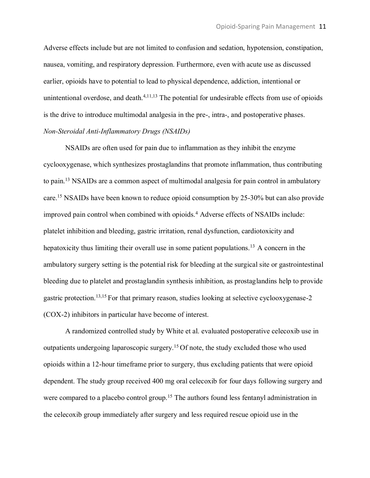Adverse effects include but are not limited to confusion and sedation, hypotension, constipation, nausea, vomiting, and respiratory depression. Furthermore, even with acute use as discussed earlier, opioids have to potential to lead to physical dependence, addiction, intentional or unintentional overdose, and death. $4,11,13$  The potential for undesirable effects from use of opioids is the drive to introduce multimodal analgesia in the pre-, intra-, and postoperative phases. *Non-Steroidal Anti-Inflammatory Drugs (NSAIDs)*

NSAIDs are often used for pain due to inflammation as they inhibit the enzyme cyclooxygenase, which synthesizes prostaglandins that promote inflammation, thus contributing to pain.13 NSAIDs are a common aspect of multimodal analgesia for pain control in ambulatory care.15 NSAIDs have been known to reduce opioid consumption by 25-30% but can also provide improved pain control when combined with opioids.<sup>4</sup> Adverse effects of NSAIDs include: platelet inhibition and bleeding, gastric irritation, renal dysfunction, cardiotoxicity and hepatoxicity thus limiting their overall use in some patient populations.<sup>13</sup> A concern in the ambulatory surgery setting is the potential risk for bleeding at the surgical site or gastrointestinal bleeding due to platelet and prostaglandin synthesis inhibition, as prostaglandins help to provide gastric protection.13,15 For that primary reason, studies looking at selective cyclooxygenase-2 (COX-2) inhibitors in particular have become of interest.

A randomized controlled study by White et al. evaluated postoperative celecoxib use in outpatients undergoing laparoscopic surgery.15 Of note, the study excluded those who used opioids within a 12-hour timeframe prior to surgery, thus excluding patients that were opioid dependent. The study group received 400 mg oral celecoxib for four days following surgery and were compared to a placebo control group.<sup>15</sup> The authors found less fentanyl administration in the celecoxib group immediately after surgery and less required rescue opioid use in the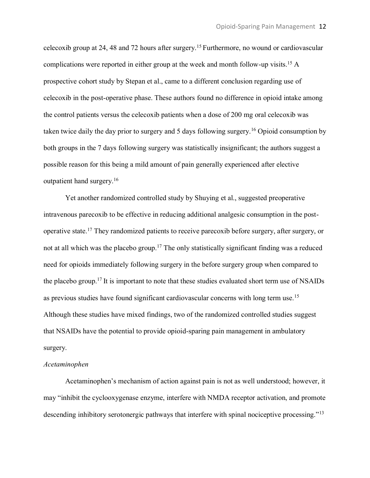celecoxib group at 24, 48 and 72 hours after surgery.15 Furthermore, no wound or cardiovascular complications were reported in either group at the week and month follow-up visits.15 A prospective cohort study by Stepan et al., came to a different conclusion regarding use of celecoxib in the post-operative phase. These authors found no difference in opioid intake among the control patients versus the celecoxib patients when a dose of 200 mg oral celecoxib was taken twice daily the day prior to surgery and 5 days following surgery.16 Opioid consumption by both groups in the 7 days following surgery was statistically insignificant; the authors suggest a possible reason for this being a mild amount of pain generally experienced after elective outpatient hand surgery.16

Yet another randomized controlled study by Shuying et al., suggested preoperative intravenous parecoxib to be effective in reducing additional analgesic consumption in the postoperative state.17 They randomized patients to receive parecoxib before surgery, after surgery, or not at all which was the placebo group.<sup>17</sup> The only statistically significant finding was a reduced need for opioids immediately following surgery in the before surgery group when compared to the placebo group.17 It is important to note that these studies evaluated short term use of NSAIDs as previous studies have found significant cardiovascular concerns with long term use.15 Although these studies have mixed findings, two of the randomized controlled studies suggest that NSAIDs have the potential to provide opioid-sparing pain management in ambulatory surgery.

#### *Acetaminophen*

Acetaminophen's mechanism of action against pain is not as well understood; however, it may "inhibit the cyclooxygenase enzyme, interfere with NMDA receptor activation, and promote descending inhibitory serotonergic pathways that interfere with spinal nociceptive processing."<sup>13</sup>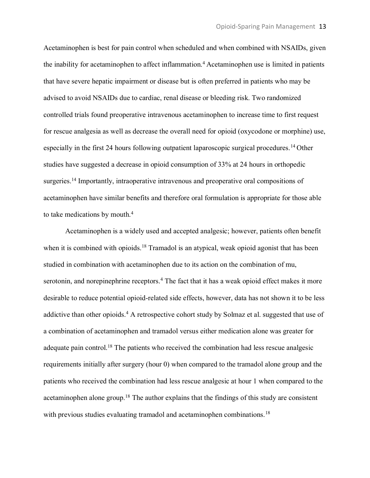Acetaminophen is best for pain control when scheduled and when combined with NSAIDs, given the inability for acetaminophen to affect inflammation.<sup>4</sup> Acetaminophen use is limited in patients that have severe hepatic impairment or disease but is often preferred in patients who may be advised to avoid NSAIDs due to cardiac, renal disease or bleeding risk. Two randomized controlled trials found preoperative intravenous acetaminophen to increase time to first request for rescue analgesia as well as decrease the overall need for opioid (oxycodone or morphine) use, especially in the first 24 hours following outpatient laparoscopic surgical procedures.<sup>14</sup> Other studies have suggested a decrease in opioid consumption of 33% at 24 hours in orthopedic surgeries.<sup>14</sup> Importantly, intraoperative intravenous and preoperative oral compositions of acetaminophen have similar benefits and therefore oral formulation is appropriate for those able to take medications by mouth.4

Acetaminophen is a widely used and accepted analgesic; however, patients often benefit when it is combined with opioids.<sup>18</sup> Tramadol is an atypical, weak opioid agonist that has been studied in combination with acetaminophen due to its action on the combination of mu, serotonin, and norepinephrine receptors.<sup>4</sup> The fact that it has a weak opioid effect makes it more desirable to reduce potential opioid-related side effects, however, data has not shown it to be less addictive than other opioids.<sup>4</sup> A retrospective cohort study by Solmaz et al. suggested that use of a combination of acetaminophen and tramadol versus either medication alone was greater for adequate pain control.<sup>18</sup> The patients who received the combination had less rescue analgesic requirements initially after surgery (hour 0) when compared to the tramadol alone group and the patients who received the combination had less rescue analgesic at hour 1 when compared to the acetaminophen alone group.18 The author explains that the findings of this study are consistent with previous studies evaluating tramadol and acetaminophen combinations.<sup>18</sup>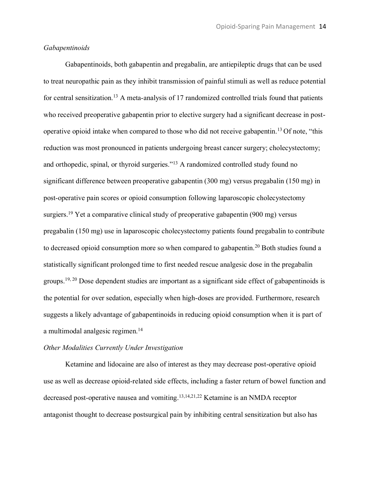#### *Gabapentinoids*

Gabapentinoids, both gabapentin and pregabalin, are antiepileptic drugs that can be used to treat neuropathic pain as they inhibit transmission of painful stimuli as well as reduce potential for central sensitization.<sup>13</sup> A meta-analysis of 17 randomized controlled trials found that patients who received preoperative gabapentin prior to elective surgery had a significant decrease in postoperative opioid intake when compared to those who did not receive gabapentin.13 Of note, "this reduction was most pronounced in patients undergoing breast cancer surgery; cholecystectomy; and orthopedic, spinal, or thyroid surgeries."<sup>13</sup> A randomized controlled study found no significant difference between preoperative gabapentin (300 mg) versus pregabalin (150 mg) in post-operative pain scores or opioid consumption following laparoscopic cholecystectomy surgiers.<sup>19</sup> Yet a comparative clinical study of preoperative gabapentin (900 mg) versus pregabalin (150 mg) use in laparoscopic cholecystectomy patients found pregabalin to contribute to decreased opioid consumption more so when compared to gabapentin.20 Both studies found a statistically significant prolonged time to first needed rescue analgesic dose in the pregabalin groups.19, 20 Dose dependent studies are important as a significant side effect of gabapentinoids is the potential for over sedation, especially when high-doses are provided. Furthermore, research suggests a likely advantage of gabapentinoids in reducing opioid consumption when it is part of a multimodal analgesic regimen.<sup>14</sup>

#### *Other Modalities Currently Under Investigation*

Ketamine and lidocaine are also of interest as they may decrease post-operative opioid use as well as decrease opioid-related side effects, including a faster return of bowel function and decreased post-operative nausea and vomiting. 13,14,21,22 Ketamine is an NMDA receptor antagonist thought to decrease postsurgical pain by inhibiting central sensitization but also has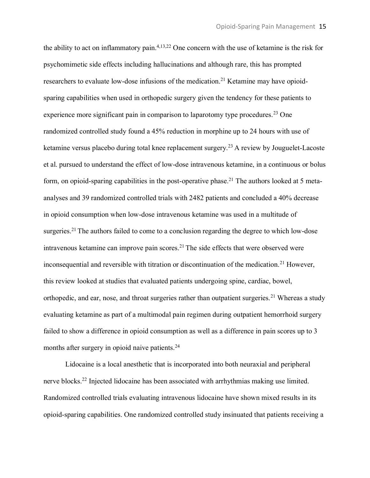the ability to act on inflammatory pain. 4,13,22 One concern with the use of ketamine is the risk for psychomimetic side effects including hallucinations and although rare, this has prompted researchers to evaluate low-dose infusions of the medication.<sup>21</sup> Ketamine may have opioidsparing capabilities when used in orthopedic surgery given the tendency for these patients to experience more significant pain in comparison to laparotomy type procedures.<sup>23</sup> One randomized controlled study found a 45% reduction in morphine up to 24 hours with use of ketamine versus placebo during total knee replacement surgery.<sup>23</sup> A review by Jouguelet-Lacoste et al. pursued to understand the effect of low-dose intravenous ketamine, in a continuous or bolus form, on opioid-sparing capabilities in the post-operative phase.<sup>21</sup> The authors looked at 5 metaanalyses and 39 randomized controlled trials with 2482 patients and concluded a 40% decrease in opioid consumption when low-dose intravenous ketamine was used in a multitude of surgeries.<sup>21</sup> The authors failed to come to a conclusion regarding the degree to which low-dose intravenous ketamine can improve pain scores.<sup>21</sup> The side effects that were observed were inconsequential and reversible with titration or discontinuation of the medication.<sup>21</sup> However, this review looked at studies that evaluated patients undergoing spine, cardiac, bowel, orthopedic, and ear, nose, and throat surgeries rather than outpatient surgeries.<sup>21</sup> Whereas a study evaluating ketamine as part of a multimodal pain regimen during outpatient hemorrhoid surgery failed to show a difference in opioid consumption as well as a difference in pain scores up to 3 months after surgery in opioid naive patients.<sup>24</sup>

Lidocaine is a local anesthetic that is incorporated into both neuraxial and peripheral nerve blocks.22 Injected lidocaine has been associated with arrhythmias making use limited. Randomized controlled trials evaluating intravenous lidocaine have shown mixed results in its opioid-sparing capabilities. One randomized controlled study insinuated that patients receiving a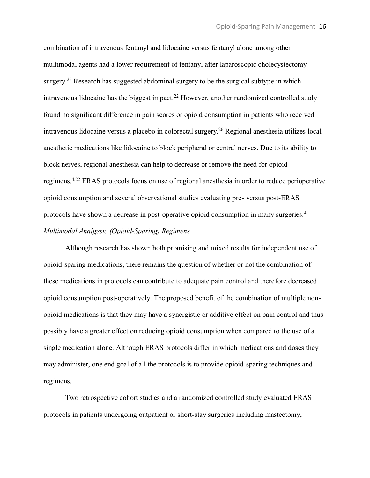combination of intravenous fentanyl and lidocaine versus fentanyl alone among other multimodal agents had a lower requirement of fentanyl after laparoscopic cholecystectomy surgery.<sup>25</sup> Research has suggested abdominal surgery to be the surgical subtype in which intravenous lidocaine has the biggest impact.22 However, another randomized controlled study found no significant difference in pain scores or opioid consumption in patients who received intravenous lidocaine versus a placebo in colorectal surgery.26 Regional anesthesia utilizes local anesthetic medications like lidocaine to block peripheral or central nerves. Due to its ability to block nerves, regional anesthesia can help to decrease or remove the need for opioid regimens.4,22 ERAS protocols focus on use of regional anesthesia in order to reduce perioperative opioid consumption and several observational studies evaluating pre- versus post-ERAS protocols have shown a decrease in post-operative opioid consumption in many surgeries.4 *Multimodal Analgesic (Opioid-Sparing) Regimens*

Although research has shown both promising and mixed results for independent use of opioid-sparing medications, there remains the question of whether or not the combination of these medications in protocols can contribute to adequate pain control and therefore decreased opioid consumption post-operatively. The proposed benefit of the combination of multiple nonopioid medications is that they may have a synergistic or additive effect on pain control and thus possibly have a greater effect on reducing opioid consumption when compared to the use of a single medication alone. Although ERAS protocols differ in which medications and doses they may administer, one end goal of all the protocols is to provide opioid-sparing techniques and regimens.

Two retrospective cohort studies and a randomized controlled study evaluated ERAS protocols in patients undergoing outpatient or short-stay surgeries including mastectomy,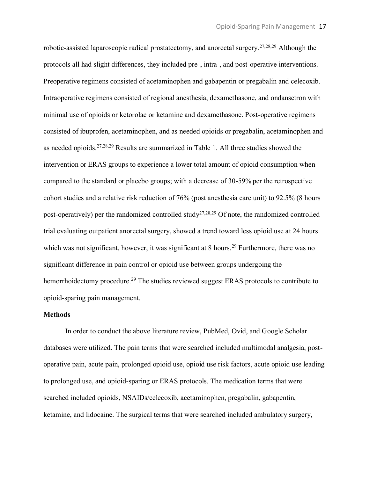robotic-assisted laparoscopic radical prostatectomy, and anorectal surgery.<sup>27,28,29</sup> Although the protocols all had slight differences, they included pre-, intra-, and post-operative interventions. Preoperative regimens consisted of acetaminophen and gabapentin or pregabalin and celecoxib. Intraoperative regimens consisted of regional anesthesia, dexamethasone, and ondansetron with minimal use of opioids or ketorolac or ketamine and dexamethasone. Post-operative regimens consisted of ibuprofen, acetaminophen, and as needed opioids or pregabalin, acetaminophen and as needed opioids.27,28,29 Results are summarized in Table 1. All three studies showed the intervention or ERAS groups to experience a lower total amount of opioid consumption when compared to the standard or placebo groups; with a decrease of 30-59% per the retrospective cohort studies and a relative risk reduction of 76% (post anesthesia care unit) to 92.5% (8 hours post-operatively) per the randomized controlled study<sup>27,28,29</sup> Of note, the randomized controlled trial evaluating outpatient anorectal surgery, showed a trend toward less opioid use at 24 hours which was not significant, however, it was significant at 8 hours.<sup>29</sup> Furthermore, there was no significant difference in pain control or opioid use between groups undergoing the hemorrhoidectomy procedure.<sup>29</sup> The studies reviewed suggest ERAS protocols to contribute to opioid-sparing pain management.

#### **Methods**

In order to conduct the above literature review, PubMed, Ovid, and Google Scholar databases were utilized. The pain terms that were searched included multimodal analgesia, postoperative pain, acute pain, prolonged opioid use, opioid use risk factors, acute opioid use leading to prolonged use, and opioid-sparing or ERAS protocols. The medication terms that were searched included opioids, NSAIDs/celecoxib, acetaminophen, pregabalin, gabapentin, ketamine, and lidocaine. The surgical terms that were searched included ambulatory surgery,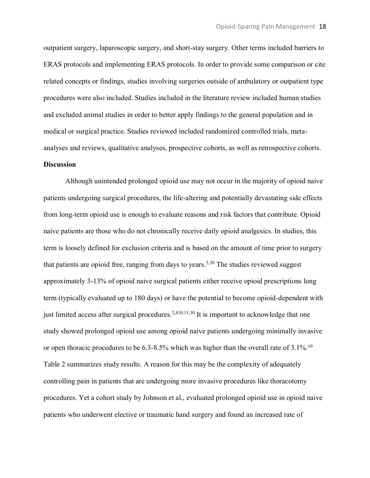outpatient surgery, laparoscopic surgery, and short-stay surgery. Other terms included barriers to ERAS protocols and implementing ERAS protocols. In order to provide some comparison or cite related concepts or findings, studies involving surgeries outside of ambulatory or outpatient type procedures were also included. Studies included in the literature review included human studies and excluded animal studies in order to better apply findings to the general population and in medical or surgical practice. Studies reviewed included randomized controlled trials, metaanalyses and reviews, qualitative analyses, prospective cohorts, as well as retrospective cohorts.

#### **Discussion**

Although unintended prolonged opioid use may not occur in the majority of opioid naive patients undergoing surgical procedures, the life-altering and potentially devastating side effects from long-term opioid use is enough to evaluate reasons and risk factors that contribute. Opioid naive patients are those who do not chronically receive daily opioid analgesics. In studies, this term is loosely defined for exclusion criteria and is based on the amount of time prior to surgery that patients are opioid free, ranging from days to years.<sup>3,30</sup> The studies reviewed suggest approximately 3-13% of opioid naive surgical patients either receive opioid prescriptions long term (typically evaluated up to 180 days) or have the potential to become opioid-dependent with just limited access after surgical procedures.<sup>2,410,11,30</sup> It is important to acknowledge that one study showed prolonged opioid use among opioid naive patients undergoing minimally invasive or open thoracic procedures to be  $6.3$ -8.5% which was higher than the overall rate of  $3.1\%$ .<sup>10</sup> Table 2 summarizes study results. A reason for this may be the complexity of adequately controlling pain in patients that are undergoing more invasive procedures like thoracotomy procedures. Yet a cohort study by Johnson et al., evaluated prolonged opioid use in opioid naive patients who underwent elective or traumatic hand surgery and found an increased rate of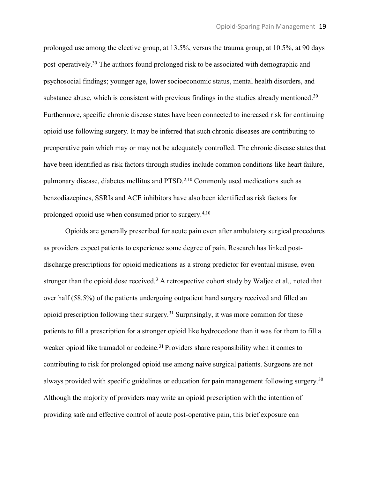prolonged use among the elective group, at 13.5%, versus the trauma group, at 10.5%, at 90 days post-operatively.30 The authors found prolonged risk to be associated with demographic and psychosocial findings; younger age, lower socioeconomic status, mental health disorders, and substance abuse, which is consistent with previous findings in the studies already mentioned.<sup>30</sup> Furthermore, specific chronic disease states have been connected to increased risk for continuing opioid use following surgery. It may be inferred that such chronic diseases are contributing to preoperative pain which may or may not be adequately controlled. The chronic disease states that have been identified as risk factors through studies include common conditions like heart failure, pulmonary disease, diabetes mellitus and PTSD.2,10 Commonly used medications such as benzodiazepines, SSRIs and ACE inhibitors have also been identified as risk factors for prolonged opioid use when consumed prior to surgery.4,10

Opioids are generally prescribed for acute pain even after ambulatory surgical procedures as providers expect patients to experience some degree of pain. Research has linked postdischarge prescriptions for opioid medications as a strong predictor for eventual misuse, even stronger than the opioid dose received.<sup>3</sup> A retrospective cohort study by Waljee et al., noted that over half (58.5%) of the patients undergoing outpatient hand surgery received and filled an opioid prescription following their surgery.31 Surprisingly, it was more common for these patients to fill a prescription for a stronger opioid like hydrocodone than it was for them to fill a weaker opioid like tramadol or codeine.<sup>31</sup> Providers share responsibility when it comes to contributing to risk for prolonged opioid use among naive surgical patients. Surgeons are not always provided with specific guidelines or education for pain management following surgery.<sup>30</sup> Although the majority of providers may write an opioid prescription with the intention of providing safe and effective control of acute post-operative pain, this brief exposure can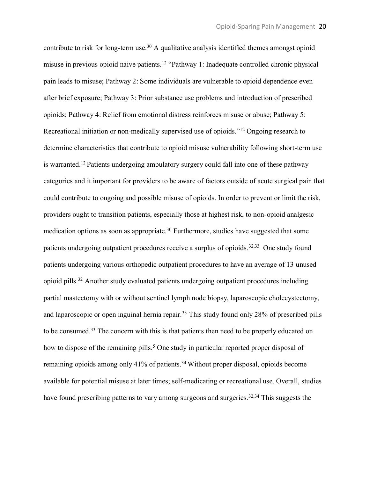contribute to risk for long-term use.<sup>30</sup> A qualitative analysis identified themes amongst opioid misuse in previous opioid naive patients.12 "Pathway 1: Inadequate controlled chronic physical pain leads to misuse; Pathway 2: Some individuals are vulnerable to opioid dependence even after brief exposure; Pathway 3: Prior substance use problems and introduction of prescribed opioids; Pathway 4: Relief from emotional distress reinforces misuse or abuse; Pathway 5: Recreational initiation or non-medically supervised use of opioids."<sup>12</sup> Ongoing research to determine characteristics that contribute to opioid misuse vulnerability following short-term use is warranted.12 Patients undergoing ambulatory surgery could fall into one of these pathway categories and it important for providers to be aware of factors outside of acute surgical pain that could contribute to ongoing and possible misuse of opioids. In order to prevent or limit the risk, providers ought to transition patients, especially those at highest risk, to non-opioid analgesic medication options as soon as appropriate.<sup>30</sup> Furthermore, studies have suggested that some patients undergoing outpatient procedures receive a surplus of opioids.<sup>32,33</sup> One study found patients undergoing various orthopedic outpatient procedures to have an average of 13 unused opioid pills.32 Another study evaluated patients undergoing outpatient procedures including partial mastectomy with or without sentinel lymph node biopsy, laparoscopic cholecystectomy, and laparoscopic or open inguinal hernia repair.<sup>33</sup> This study found only 28% of prescribed pills to be consumed.33 The concern with this is that patients then need to be properly educated on how to dispose of the remaining pills.<sup>5</sup> One study in particular reported proper disposal of remaining opioids among only 41% of patients.<sup>34</sup> Without proper disposal, opioids become available for potential misuse at later times; self-medicating or recreational use. Overall, studies have found prescribing patterns to vary among surgeons and surgeries.<sup>32,34</sup> This suggests the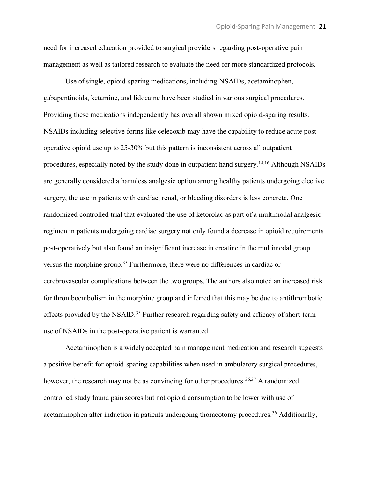need for increased education provided to surgical providers regarding post-operative pain management as well as tailored research to evaluate the need for more standardized protocols.

Use of single, opioid-sparing medications, including NSAIDs, acetaminophen, gabapentinoids, ketamine, and lidocaine have been studied in various surgical procedures. Providing these medications independently has overall shown mixed opioid-sparing results. NSAIDs including selective forms like celecoxib may have the capability to reduce acute postoperative opioid use up to 25-30% but this pattern is inconsistent across all outpatient procedures, especially noted by the study done in outpatient hand surgery.14,16 Although NSAIDs are generally considered a harmless analgesic option among healthy patients undergoing elective surgery, the use in patients with cardiac, renal, or bleeding disorders is less concrete. One randomized controlled trial that evaluated the use of ketorolac as part of a multimodal analgesic regimen in patients undergoing cardiac surgery not only found a decrease in opioid requirements post-operatively but also found an insignificant increase in creatine in the multimodal group versus the morphine group.35 Furthermore, there were no differences in cardiac or cerebrovascular complications between the two groups. The authors also noted an increased risk for thromboembolism in the morphine group and inferred that this may be due to antithrombotic effects provided by the NSAID.<sup>35</sup> Further research regarding safety and efficacy of short-term use of NSAIDs in the post-operative patient is warranted.

Acetaminophen is a widely accepted pain management medication and research suggests a positive benefit for opioid-sparing capabilities when used in ambulatory surgical procedures, however, the research may not be as convincing for other procedures.<sup>36,37</sup> A randomized controlled study found pain scores but not opioid consumption to be lower with use of acetaminophen after induction in patients undergoing thoracotomy procedures.<sup>36</sup> Additionally,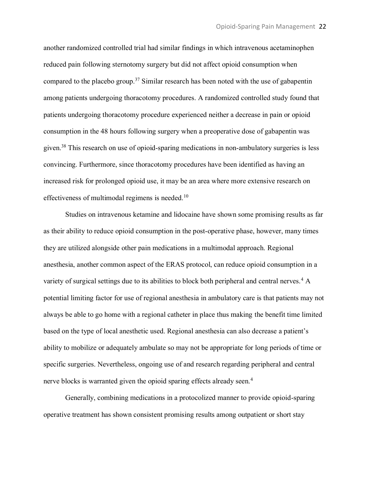another randomized controlled trial had similar findings in which intravenous acetaminophen reduced pain following sternotomy surgery but did not affect opioid consumption when compared to the placebo group.37 Similar research has been noted with the use of gabapentin among patients undergoing thoracotomy procedures. A randomized controlled study found that patients undergoing thoracotomy procedure experienced neither a decrease in pain or opioid consumption in the 48 hours following surgery when a preoperative dose of gabapentin was given.38 This research on use of opioid-sparing medications in non-ambulatory surgeries is less convincing. Furthermore, since thoracotomy procedures have been identified as having an increased risk for prolonged opioid use, it may be an area where more extensive research on effectiveness of multimodal regimens is needed.<sup>10</sup>

Studies on intravenous ketamine and lidocaine have shown some promising results as far as their ability to reduce opioid consumption in the post-operative phase, however, many times they are utilized alongside other pain medications in a multimodal approach. Regional anesthesia, another common aspect of the ERAS protocol, can reduce opioid consumption in a variety of surgical settings due to its abilities to block both peripheral and central nerves.4 A potential limiting factor for use of regional anesthesia in ambulatory care is that patients may not always be able to go home with a regional catheter in place thus making the benefit time limited based on the type of local anesthetic used. Regional anesthesia can also decrease a patient's ability to mobilize or adequately ambulate so may not be appropriate for long periods of time or specific surgeries. Nevertheless, ongoing use of and research regarding peripheral and central nerve blocks is warranted given the opioid sparing effects already seen.<sup>4</sup>

Generally, combining medications in a protocolized manner to provide opioid-sparing operative treatment has shown consistent promising results among outpatient or short stay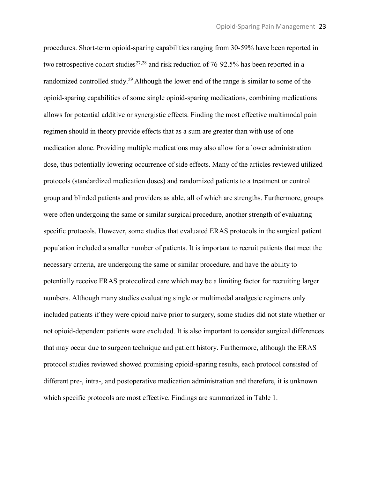procedures. Short-term opioid-sparing capabilities ranging from 30-59% have been reported in two retrospective cohort studies<sup>27,28</sup> and risk reduction of 76-92.5% has been reported in a randomized controlled study.29 Although the lower end of the range is similar to some of the opioid-sparing capabilities of some single opioid-sparing medications, combining medications allows for potential additive or synergistic effects. Finding the most effective multimodal pain regimen should in theory provide effects that as a sum are greater than with use of one medication alone. Providing multiple medications may also allow for a lower administration dose, thus potentially lowering occurrence of side effects. Many of the articles reviewed utilized protocols (standardized medication doses) and randomized patients to a treatment or control group and blinded patients and providers as able, all of which are strengths. Furthermore, groups were often undergoing the same or similar surgical procedure, another strength of evaluating specific protocols. However, some studies that evaluated ERAS protocols in the surgical patient population included a smaller number of patients. It is important to recruit patients that meet the necessary criteria, are undergoing the same or similar procedure, and have the ability to potentially receive ERAS protocolized care which may be a limiting factor for recruiting larger numbers. Although many studies evaluating single or multimodal analgesic regimens only included patients if they were opioid naive prior to surgery, some studies did not state whether or not opioid-dependent patients were excluded. It is also important to consider surgical differences that may occur due to surgeon technique and patient history. Furthermore, although the ERAS protocol studies reviewed showed promising opioid-sparing results, each protocol consisted of different pre-, intra-, and postoperative medication administration and therefore, it is unknown which specific protocols are most effective. Findings are summarized in Table 1.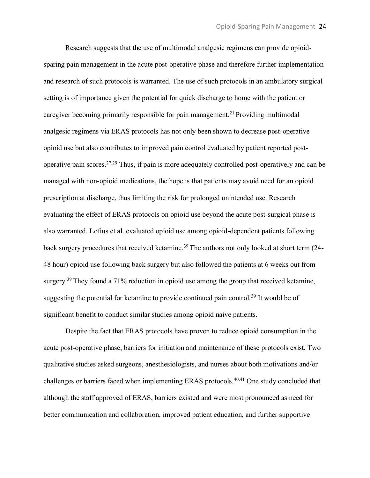Research suggests that the use of multimodal analgesic regimens can provide opioidsparing pain management in the acute post-operative phase and therefore further implementation and research of such protocols is warranted. The use of such protocols in an ambulatory surgical setting is of importance given the potential for quick discharge to home with the patient or caregiver becoming primarily responsible for pain management.<sup>21</sup> Providing multimodal analgesic regimens via ERAS protocols has not only been shown to decrease post-operative opioid use but also contributes to improved pain control evaluated by patient reported postoperative pain scores.27,29 Thus, if pain is more adequately controlled post-operatively and can be managed with non-opioid medications, the hope is that patients may avoid need for an opioid prescription at discharge, thus limiting the risk for prolonged unintended use. Research evaluating the effect of ERAS protocols on opioid use beyond the acute post-surgical phase is also warranted. Loftus et al. evaluated opioid use among opioid-dependent patients following back surgery procedures that received ketamine.<sup>39</sup> The authors not only looked at short term (24-48 hour) opioid use following back surgery but also followed the patients at 6 weeks out from surgery.<sup>39</sup> They found a 71% reduction in opioid use among the group that received ketamine, suggesting the potential for ketamine to provide continued pain control.<sup>39</sup> It would be of significant benefit to conduct similar studies among opioid naive patients.

Despite the fact that ERAS protocols have proven to reduce opioid consumption in the acute post-operative phase, barriers for initiation and maintenance of these protocols exist. Two qualitative studies asked surgeons, anesthesiologists, and nurses about both motivations and/or challenges or barriers faced when implementing ERAS protocols.<sup>40,41</sup> One study concluded that although the staff approved of ERAS, barriers existed and were most pronounced as need for better communication and collaboration, improved patient education, and further supportive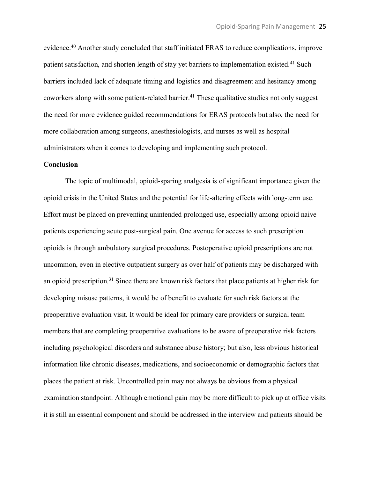evidence.40 Another study concluded that staff initiated ERAS to reduce complications, improve patient satisfaction, and shorten length of stay yet barriers to implementation existed.<sup>41</sup> Such barriers included lack of adequate timing and logistics and disagreement and hesitancy among coworkers along with some patient-related barrier.<sup>41</sup> These qualitative studies not only suggest the need for more evidence guided recommendations for ERAS protocols but also, the need for more collaboration among surgeons, anesthesiologists, and nurses as well as hospital administrators when it comes to developing and implementing such protocol.

#### **Conclusion**

The topic of multimodal, opioid-sparing analgesia is of significant importance given the opioid crisis in the United States and the potential for life-altering effects with long-term use. Effort must be placed on preventing unintended prolonged use, especially among opioid naive patients experiencing acute post-surgical pain. One avenue for access to such prescription opioids is through ambulatory surgical procedures. Postoperative opioid prescriptions are not uncommon, even in elective outpatient surgery as over half of patients may be discharged with an opioid prescription.31 Since there are known risk factors that place patients at higher risk for developing misuse patterns, it would be of benefit to evaluate for such risk factors at the preoperative evaluation visit. It would be ideal for primary care providers or surgical team members that are completing preoperative evaluations to be aware of preoperative risk factors including psychological disorders and substance abuse history; but also, less obvious historical information like chronic diseases, medications, and socioeconomic or demographic factors that places the patient at risk. Uncontrolled pain may not always be obvious from a physical examination standpoint. Although emotional pain may be more difficult to pick up at office visits it is still an essential component and should be addressed in the interview and patients should be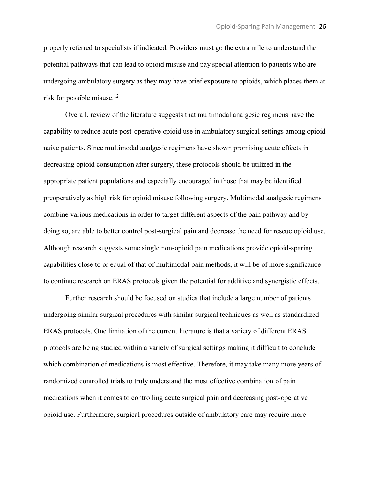properly referred to specialists if indicated. Providers must go the extra mile to understand the potential pathways that can lead to opioid misuse and pay special attention to patients who are undergoing ambulatory surgery as they may have brief exposure to opioids, which places them at risk for possible misuse.12

Overall, review of the literature suggests that multimodal analgesic regimens have the capability to reduce acute post-operative opioid use in ambulatory surgical settings among opioid naive patients. Since multimodal analgesic regimens have shown promising acute effects in decreasing opioid consumption after surgery, these protocols should be utilized in the appropriate patient populations and especially encouraged in those that may be identified preoperatively as high risk for opioid misuse following surgery. Multimodal analgesic regimens combine various medications in order to target different aspects of the pain pathway and by doing so, are able to better control post-surgical pain and decrease the need for rescue opioid use. Although research suggests some single non-opioid pain medications provide opioid-sparing capabilities close to or equal of that of multimodal pain methods, it will be of more significance to continue research on ERAS protocols given the potential for additive and synergistic effects.

Further research should be focused on studies that include a large number of patients undergoing similar surgical procedures with similar surgical techniques as well as standardized ERAS protocols. One limitation of the current literature is that a variety of different ERAS protocols are being studied within a variety of surgical settings making it difficult to conclude which combination of medications is most effective. Therefore, it may take many more years of randomized controlled trials to truly understand the most effective combination of pain medications when it comes to controlling acute surgical pain and decreasing post-operative opioid use. Furthermore, surgical procedures outside of ambulatory care may require more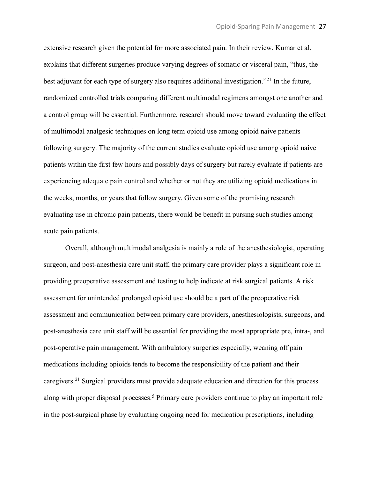extensive research given the potential for more associated pain. In their review, Kumar et al. explains that different surgeries produce varying degrees of somatic or visceral pain, "thus, the best adjuvant for each type of surgery also requires additional investigation."<sup>21</sup> In the future, randomized controlled trials comparing different multimodal regimens amongst one another and a control group will be essential. Furthermore, research should move toward evaluating the effect of multimodal analgesic techniques on long term opioid use among opioid naive patients following surgery. The majority of the current studies evaluate opioid use among opioid naive patients within the first few hours and possibly days of surgery but rarely evaluate if patients are experiencing adequate pain control and whether or not they are utilizing opioid medications in the weeks, months, or years that follow surgery. Given some of the promising research evaluating use in chronic pain patients, there would be benefit in pursing such studies among acute pain patients.

Overall, although multimodal analgesia is mainly a role of the anesthesiologist, operating surgeon, and post-anesthesia care unit staff, the primary care provider plays a significant role in providing preoperative assessment and testing to help indicate at risk surgical patients. A risk assessment for unintended prolonged opioid use should be a part of the preoperative risk assessment and communication between primary care providers, anesthesiologists, surgeons, and post-anesthesia care unit staff will be essential for providing the most appropriate pre, intra-, and post-operative pain management. With ambulatory surgeries especially, weaning off pain medications including opioids tends to become the responsibility of the patient and their caregivers.21 Surgical providers must provide adequate education and direction for this process along with proper disposal processes.<sup>5</sup> Primary care providers continue to play an important role in the post-surgical phase by evaluating ongoing need for medication prescriptions, including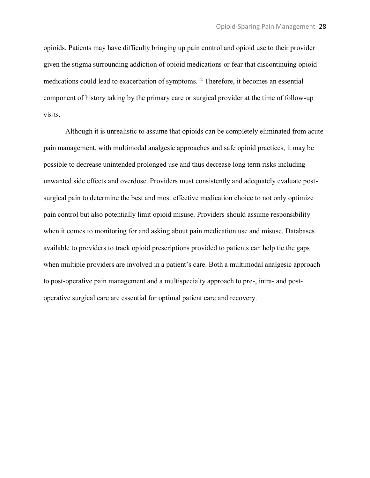opioids. Patients may have difficulty bringing up pain control and opioid use to their provider given the stigma surrounding addiction of opioid medications or fear that discontinuing opioid medications could lead to exacerbation of symptoms.12 Therefore, it becomes an essential component of history taking by the primary care or surgical provider at the time of follow-up visits.

Although it is unrealistic to assume that opioids can be completely eliminated from acute pain management, with multimodal analgesic approaches and safe opioid practices, it may be possible to decrease unintended prolonged use and thus decrease long term risks including unwanted side effects and overdose. Providers must consistently and adequately evaluate postsurgical pain to determine the best and most effective medication choice to not only optimize pain control but also potentially limit opioid misuse. Providers should assume responsibility when it comes to monitoring for and asking about pain medication use and misuse. Databases available to providers to track opioid prescriptions provided to patients can help tie the gaps when multiple providers are involved in a patient's care. Both a multimodal analgesic approach to post-operative pain management and a multispecialty approach to pre-, intra- and postoperative surgical care are essential for optimal patient care and recovery.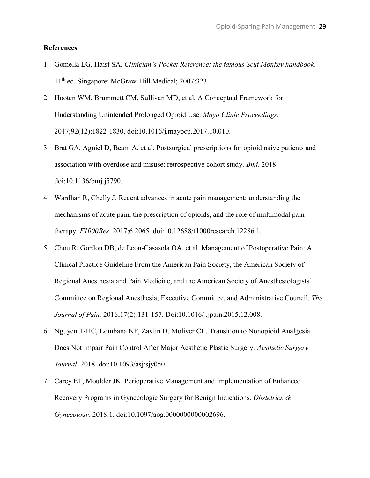#### **References**

- 1. Gomella LG, Haist SA. *Clinician's Pocket Reference: the famous Scut Monkey handbook*. 11th ed. Singapore: McGraw-Hill Medical; 2007:323.
- 2. Hooten WM, Brummett CM, Sullivan MD, et al. A Conceptual Framework for Understanding Unintended Prolonged Opioid Use. *Mayo Clinic Proceedings*. 2017;92(12):1822-1830. doi:10.1016/j.mayocp.2017.10.010.
- 3. Brat GA, Agniel D, Beam A, et al. Postsurgical prescriptions for opioid naive patients and association with overdose and misuse: retrospective cohort study. *Bmj*. 2018. doi:10.1136/bmj.j5790.
- 4. Wardhan R, Chelly J. Recent advances in acute pain management: understanding the mechanisms of acute pain, the prescription of opioids, and the role of multimodal pain therapy. *F1000Res*. 2017;6:2065. doi:10.12688/f1000research.12286.1.
- 5. Chou R, Gordon DB, de Leon-Casasola OA, et al. Management of Postoperative Pain: A Clinical Practice Guideline From the American Pain Society, the American Society of Regional Anesthesia and Pain Medicine, and the American Society of Anesthesiologists' Committee on Regional Anesthesia, Executive Committee, and Administrative Council. *The Journal of Pain.* 2016;17(2):131-157. Doi:10.1016/j.jpain.2015.12.008.
- 6. Nguyen T-HC, Lombana NF, Zavlin D, Moliver CL. Transition to Nonopioid Analgesia Does Not Impair Pain Control After Major Aesthetic Plastic Surgery. *Aesthetic Surgery Journal*. 2018. doi:10.1093/asj/sjy050.
- 7. Carey ET, Moulder JK. Perioperative Management and Implementation of Enhanced Recovery Programs in Gynecologic Surgery for Benign Indications. *Obstetrics & Gynecology*. 2018:1. doi:10.1097/aog.0000000000002696.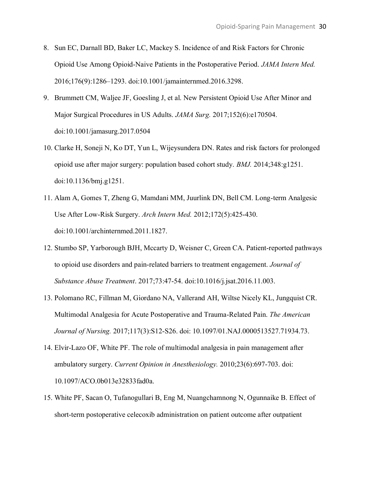- 8. Sun EC, Darnall BD, Baker LC, Mackey S. Incidence of and Risk Factors for Chronic Opioid Use Among Opioid-Naive Patients in the Postoperative Period. *JAMA Intern Med.* 2016;176(9):1286–1293. doi:10.1001/jamainternmed.2016.3298.
- 9. Brummett CM, Waljee JF, Goesling J, et al. New Persistent Opioid Use After Minor and Major Surgical Procedures in US Adults. *JAMA Surg.* 2017;152(6):e170504. doi:10.1001/jamasurg.2017.0504
- 10. Clarke H, Soneji N, Ko DT, Yun L, Wijeysundera DN. Rates and risk factors for prolonged opioid use after major surgery: population based cohort study. *BMJ.* 2014;348:g1251. doi:10.1136/bmj.g1251.
- 11. Alam A, Gomes T, Zheng G, Mamdani MM, Juurlink DN, Bell CM. Long-term Analgesic Use After Low-Risk Surgery. *Arch Intern Med.* 2012;172(5):425-430. doi:10.1001/archinternmed.2011.1827.
- 12. Stumbo SP, Yarborough BJH, Mccarty D, Weisner C, Green CA. Patient-reported pathways to opioid use disorders and pain-related barriers to treatment engagement. *Journal of Substance Abuse Treatment*. 2017;73:47-54. doi:10.1016/j.jsat.2016.11.003.
- 13. Polomano RC, Fillman M, Giordano NA, Vallerand AH, Wiltse Nicely KL, Jungquist CR. Multimodal Analgesia for Acute Postoperative and Trauma-Related Pain. *The American Journal of Nursing.* 2017;117(3):S12-S26. doi: 10.1097/01.NAJ.0000513527.71934.73.
- 14. Elvir-Lazo OF, White PF. The role of multimodal analgesia in pain management after ambulatory surgery. *Current Opinion in Anesthesiology.* 2010;23(6):697-703. doi: 10.1097/ACO.0b013e32833fad0a.
- 15. White PF, Sacan O, Tufanogullari B, Eng M, Nuangchamnong N, Ogunnaike B. Effect of short-term postoperative celecoxib administration on patient outcome after outpatient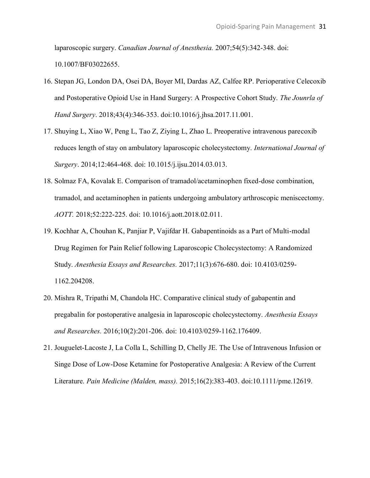laparoscopic surgery. *Canadian Journal of Anesthesia.* 2007;54(5):342-348. doi: 10.1007/BF03022655.

- 16. Stepan JG, London DA, Osei DA, Boyer MI, Dardas AZ, Calfee RP. Perioperative Celecoxib and Postoperative Opioid Use in Hand Surgery: A Prospective Cohort Study. *The Jounrla of Hand Surgery*. 2018;43(4):346-353. doi:10.1016/j.jhsa.2017.11.001.
- 17. Shuying L, Xiao W, Peng L, Tao Z, Ziying L, Zhao L. Preoperative intravenous parecoxib reduces length of stay on ambulatory laparoscopic cholecystectomy. *International Journal of Surgery*. 2014;12:464-468. doi: 10.1015/j.ijsu.2014.03.013.
- 18. Solmaz FA, Kovalak E. Comparison of tramadol/acetaminophen fixed-dose combination, tramadol, and acetaminophen in patients undergoing ambulatory arthroscopic meniscectomy. *AOTT.* 2018;52:222-225. doi: 10.1016/j.aott.2018.02.011.
- 19. Kochhar A, Chouhan K, Panjiar P, Vajifdar H. Gabapentinoids as a Part of Multi-modal Drug Regimen for Pain Relief following Laparoscopic Cholecystectomy: A Randomized Study. *Anesthesia Essays and Researches.* 2017;11(3):676-680. doi: 10.4103/0259- 1162.204208.
- 20. Mishra R, Tripathi M, Chandola HC. Comparative clinical study of gabapentin and pregabalin for postoperative analgesia in laparoscopic cholecystectomy. *Anesthesia Essays and Researches.* 2016;10(2):201-206. doi: 10.4103/0259-1162.176409.
- 21. Jouguelet-Lacoste J, La Colla L, Schilling D, Chelly JE. The Use of Intravenous Infusion or Singe Dose of Low-Dose Ketamine for Postoperative Analgesia: A Review of the Current Literature. *Pain Medicine (Malden, mass).* 2015;16(2):383-403. doi:10.1111/pme.12619.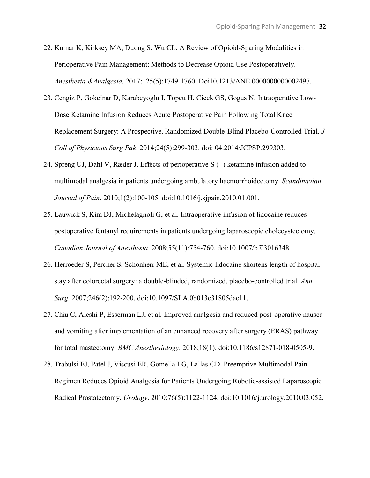- 22. Kumar K, Kirksey MA, Duong S, Wu CL. A Review of Opioid-Sparing Modalities in Perioperative Pain Management: Methods to Decrease Opioid Use Postoperatively. *Anesthesia &Analgesia.* 2017;125(5):1749-1760. Doi10.1213/ANE.0000000000002497.
- 23. Cengiz P, Gokcinar D, Karabeyoglu I, Topcu H, Cicek GS, Gogus N. Intraoperative Low-Dose Ketamine Infusion Reduces Acute Postoperative Pain Following Total Knee Replacement Surgery: A Prospective, Randomized Double-Blind Placebo-Controlled Trial. *J Coll of Physicians Surg Pak*. 2014;24(5):299-303. doi: 04.2014/JCPSP.299303.
- 24. Spreng UJ, Dahl V, Ræder J. Effects of perioperative S (+) ketamine infusion added to multimodal analgesia in patients undergoing ambulatory haemorrhoidectomy. *Scandinavian Journal of Pain*. 2010;1(2):100-105. doi:10.1016/j.sjpain.2010.01.001.
- 25. Lauwick S, Kim DJ, Michelagnoli G, et al. Intraoperative infusion of lidocaine reduces postoperative fentanyl requirements in patients undergoing laparoscopic cholecystectomy. *Canadian Journal of Anesthesia.* 2008;55(11):754-760. doi:10.1007/bf03016348.
- 26. Herroeder S, Percher S, Schonherr ME, et al. Systemic lidocaine shortens length of hospital stay after colorectal surgery: a double-blinded, randomized, placebo-controlled trial. *Ann Surg*. 2007;246(2):192-200. doi[:10.1097/SLA.0b013e31805dac11.](https://doi.org/10.1097/SLA.0b013e31805dac11)
- 27. Chiu C, Aleshi P, Esserman LJ, et al. Improved analgesia and reduced post-operative nausea and vomiting after implementation of an enhanced recovery after surgery (ERAS) pathway for total mastectomy. *BMC Anesthesiology*. 2018;18(1). doi:10.1186/s12871-018-0505-9.
- 28. Trabulsi EJ, Patel J, Viscusi ER, Gomella LG, Lallas CD. Preemptive Multimodal Pain Regimen Reduces Opioid Analgesia for Patients Undergoing Robotic-assisted Laparoscopic Radical Prostatectomy. *Urology*. 2010;76(5):1122-1124. doi:10.1016/j.urology.2010.03.052.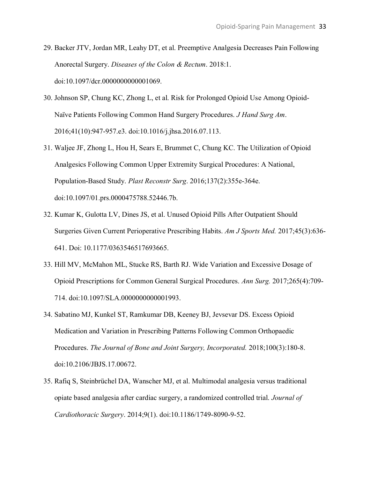- 29. Backer JTV, Jordan MR, Leahy DT, et al. Preemptive Analgesia Decreases Pain Following Anorectal Surgery. *Diseases of the Colon & Rectum*. 2018:1. doi:10.1097/dcr.0000000000001069.
- 30. Johnson SP, Chung KC, Zhong L, et al. Risk for Prolonged Opioid Use Among Opioid-Naïve Patients Following Common Hand Surgery Procedures. *J Hand Surg Am*. 2016;41(10):947-957.e3. doi:10.1016/j.jhsa.2016.07.113.
- 31. Waljee JF, Zhong L, Hou H, Sears E, Brummet C, Chung KC. The Utilization of Opioid Analgesics Following Common Upper Extremity Surgical Procedures: A National, Population-Based Study. *Plast Reconstr Surg*. 2016;137(2):355e-364e. doi:10.1097/01.prs.0000475788.52446.7b.
- 32. Kumar K, Gulotta LV, Dines JS, et al. Unused Opioid Pills After Outpatient Should Surgeries Given Current Perioperative Prescribing Habits. *Am J Sports Med.* 2017;45(3):636- 641. Doi: 10.1177/0363546517693665.
- 33. Hill MV, McMahon ML, Stucke RS, Barth RJ. Wide Variation and Excessive Dosage of Opioid Prescriptions for Common General Surgical Procedures. *Ann Surg.* 2017;265(4):709- 714. doi:10.1097/SLA.0000000000001993.
- 34. Sabatino MJ, Kunkel ST, Ramkumar DB, Keeney BJ, Jevsevar DS. Excess Opioid Medication and Variation in Prescribing Patterns Following Common Orthopaedic Procedures. *The Journal of Bone and Joint Surgery, Incorporated.* 2018;100(3):180-8. doi:10.2106/JBJS.17.00672.
- 35. Rafiq S, Steinbrüchel DA, Wanscher MJ, et al. Multimodal analgesia versus traditional opiate based analgesia after cardiac surgery, a randomized controlled trial. *Journal of Cardiothoracic Surgery*. 2014;9(1). doi:10.1186/1749-8090-9-52.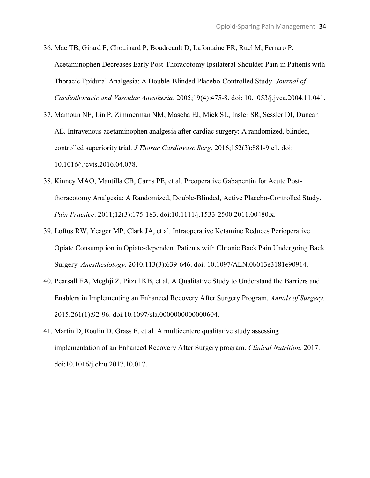- 36. Mac TB, Girard F, Chouinard P, Boudreault D, Lafontaine ER, Ruel M, Ferraro P. Acetaminophen Decreases Early Post-Thoracotomy Ipsilateral Shoulder Pain in Patients with Thoracic Epidural Analgesia: A Double-Blinded Placebo-Controlled Study. *Journal of Cardiothoracic and Vascular Anesthesia*. 2005;19(4):475-8. doi: 10.1053/j.jvca.2004.11.041.
- 37. Mamoun NF, Lin P, Zimmerman NM, Mascha EJ, Mick SL, Insler SR, Sessler DI, Duncan AE. Intravenous acetaminophen analgesia after cardiac surgery: A randomized, blinded, controlled superiority trial. *J Thorac Cardiovasc Surg*. 2016;152(3):881-9.e1. doi: 10.1016/j.jcvts.2016.04.078.
- 38. Kinney MAO, Mantilla CB, Carns PE, et al. Preoperative Gabapentin for Acute Postthoracotomy Analgesia: A Randomized, Double-Blinded, Active Placebo-Controlled Study. *Pain Practice*. 2011;12(3):175-183. doi:10.1111/j.1533-2500.2011.00480.x.
- 39. Loftus RW, Yeager MP, Clark JA, et al. Intraoperative Ketamine Reduces Perioperative Opiate Consumption in Opiate-dependent Patients with Chronic Back Pain Undergoing Back Surgery. *Anesthesiology.* 2010;113(3):639-646. doi: 10.1097/ALN.0b013e3181e90914.
- 40. Pearsall EA, Meghji Z, Pitzul KB, et al. A Qualitative Study to Understand the Barriers and Enablers in Implementing an Enhanced Recovery After Surgery Program. *Annals of Surgery*. 2015;261(1):92-96. doi:10.1097/sla.0000000000000604.
- 41. Martin D, Roulin D, Grass F, et al. A multicentere qualitative study assessing implementation of an Enhanced Recovery After Surgery program. *Clinical Nutrition*. 2017. doi:10.1016/j.clnu.2017.10.017.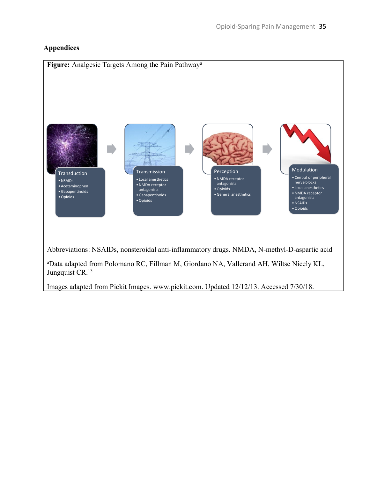## **Appendices**

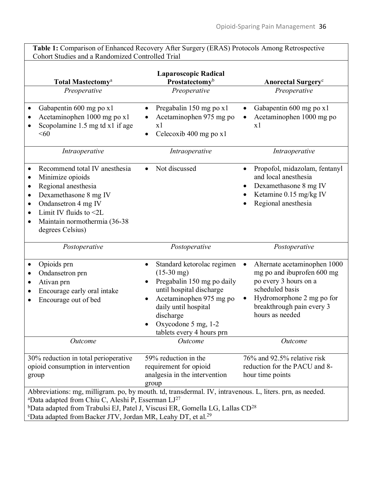**Table 1:** Comparison of Enhanced Recovery After Surgery (ERAS) Protocols Among Retrospective Cohort Studies and a Randomized Controlled Trial

| Total Mastectomy <sup>a</sup><br>Preoperative                                                                                                                                                                                                                                                                                                                            | <b>Laparoscopic Radical</b><br>Prostatectomyb<br>Preoperative                                                                                                                                                             | <b>Anorectal Surgery</b> c<br>Preoperative                                                                                                                                          |
|--------------------------------------------------------------------------------------------------------------------------------------------------------------------------------------------------------------------------------------------------------------------------------------------------------------------------------------------------------------------------|---------------------------------------------------------------------------------------------------------------------------------------------------------------------------------------------------------------------------|-------------------------------------------------------------------------------------------------------------------------------------------------------------------------------------|
| Gabapentin 600 mg po x1<br>Acetaminophen 1000 mg po x1<br>Scopolamine 1.5 mg td x1 if age<br><60                                                                                                                                                                                                                                                                         | Pregabalin 150 mg po x1<br>$\bullet$<br>Acetaminophen 975 mg po<br>x1<br>Celecoxib 400 mg po x1                                                                                                                           | Gabapentin 600 mg po x1<br>Acetaminophen 1000 mg po<br>x1                                                                                                                           |
| Intraoperative                                                                                                                                                                                                                                                                                                                                                           | Intraoperative                                                                                                                                                                                                            | Intraoperative                                                                                                                                                                      |
| Recommend total IV anesthesia<br>Minimize opioids<br>Regional anesthesia<br>$\bullet$<br>Dexamethasone 8 mg IV<br>$\bullet$<br>Ondansetron 4 mg IV<br>$\bullet$<br>Limit IV fluids to $\leq 2L$<br>Maintain normothermia (36-38<br>degrees Celsius)                                                                                                                      | Not discussed                                                                                                                                                                                                             | Propofol, midazolam, fentanyl<br>and local anesthesia<br>Dexamethasone 8 mg IV<br>Ketamine 0.15 mg/kg IV<br>Regional anesthesia                                                     |
| Postoperative                                                                                                                                                                                                                                                                                                                                                            | Postoperative                                                                                                                                                                                                             | Postoperative                                                                                                                                                                       |
| Opioids prn<br>Ondansetron prn<br>Ativan prn<br>Encourage early oral intake<br>Encourage out of bed                                                                                                                                                                                                                                                                      | Standard ketorolac regimen<br>$(15-30)$ mg)<br>Pregabalin 150 mg po daily<br>until hospital discharge<br>Acetaminophen 975 mg po<br>daily until hospital<br>discharge<br>Oxycodone 5 mg, 1-2<br>tablets every 4 hours prn | Alternate acetaminophen 1000<br>mg po and ibuprofen 600 mg<br>po every 3 hours on a<br>scheduled basis<br>Hydromorphone 2 mg po for<br>breakthrough pain every 3<br>hours as needed |
| Outcome                                                                                                                                                                                                                                                                                                                                                                  | Outcome                                                                                                                                                                                                                   | Outcome                                                                                                                                                                             |
| 30% reduction in total perioperative<br>opioid consumption in intervention<br>group                                                                                                                                                                                                                                                                                      | 59% reduction in the<br>requirement for opioid<br>analgesia in the intervention<br>group                                                                                                                                  | 76% and 92.5% relative risk<br>reduction for the PACU and 8-<br>hour time points                                                                                                    |
| Abbreviations: mg, milligram. po, by mouth. td, transdermal. IV, intravenous. L, liters. prn, as needed.<br><sup>a</sup> Data adapted from Chiu C, Aleshi P, Esserman $LI^{27}$<br><sup>b</sup> Data adapted from Trabulsi EJ, Patel J, Viscusi ER, Gomella LG, Lallas $CD^{28}$<br><sup>c</sup> Data adapted from Backer JTV, Jordan MR, Leahy DT, et al. <sup>29</sup> |                                                                                                                                                                                                                           |                                                                                                                                                                                     |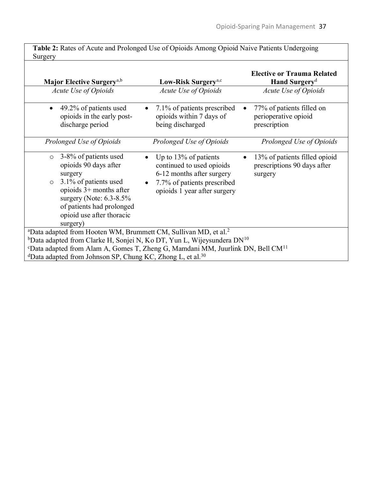**Table 2:** Rates of Acute and Prolonged Use of Opioids Among Opioid Naive Patients Undergoing **Surgery** 

| <b>Major Elective Surgery</b> <sup>a,b</sup>                                                                                                                                                                                                | Low-Risk Surgery <sup>a,c</sup>                                                                                                                   | <b>Elective or Trauma Related</b><br>Hand Surgery <sup>d</sup>          |  |
|---------------------------------------------------------------------------------------------------------------------------------------------------------------------------------------------------------------------------------------------|---------------------------------------------------------------------------------------------------------------------------------------------------|-------------------------------------------------------------------------|--|
| <b>Acute Use of Opioids</b>                                                                                                                                                                                                                 | <b>Acute Use of Opioids</b>                                                                                                                       | <b>Acute Use of Opioids</b>                                             |  |
| 49.2% of patients used<br>$\bullet$<br>opioids in the early post-<br>discharge period                                                                                                                                                       | 7.1% of patients prescribed<br>opioids within 7 days of<br>being discharged                                                                       | 77% of patients filled on<br>perioperative opioid<br>prescription       |  |
| Prolonged Use of Opioids                                                                                                                                                                                                                    | Prolonged Use of Opioids                                                                                                                          | Prolonged Use of Opioids                                                |  |
| 3-8% of patients used<br>$\circ$<br>opioids 90 days after<br>surgery<br>3.1% of patients used<br>$\circ$<br>opioids $3+$ months after<br>surgery (Note: $6.3 - 8.5\%$<br>of patients had prolonged<br>opioid use after thoracic<br>surgery) | Up to $13\%$ of patients<br>continued to used opioids<br>6-12 months after surgery<br>7.7% of patients prescribed<br>opioids 1 year after surgery | 13% of patients filled opioid<br>prescriptions 90 days after<br>surgery |  |
| <sup>a</sup> Data adapted from Hooten WM, Brummett CM, Sullivan MD, et al. <sup>2</sup>                                                                                                                                                     |                                                                                                                                                   |                                                                         |  |
| <sup>b</sup> Data adapted from Clarke H, Sonjei N, Ko DT, Yun L, Wijeysundera $DN^{10}$                                                                                                                                                     |                                                                                                                                                   |                                                                         |  |
| <sup>c</sup> Data adapted from Alam A, Gomes T, Zheng G, Mamdani MM, Juurlink DN, Bell CM <sup>11</sup><br><sup>d</sup> Data adapted from Johnson SP, Chung KC, Zhong L, et al. <sup>30</sup>                                               |                                                                                                                                                   |                                                                         |  |
|                                                                                                                                                                                                                                             |                                                                                                                                                   |                                                                         |  |